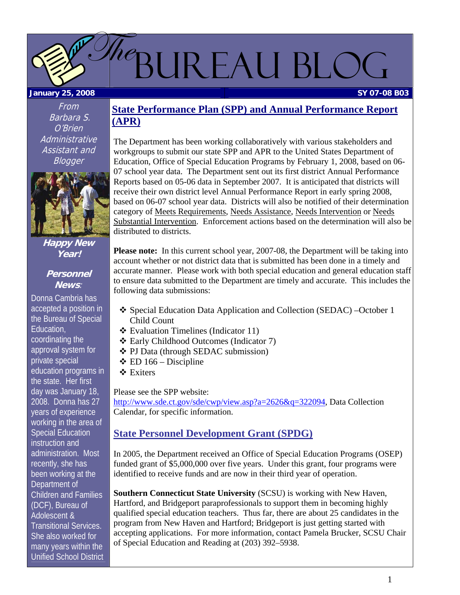

From Barbara S. O'Brien **Administrative** Assistant and **Blogger** 



### **Happy New Year!**

### **Personnel News**:

Donna Cambria has accepted a position in the Bureau of Special Education, coordinating the approval system for private special education programs in the state. Her first day was January 18, 2008. Donna has 27 years of experience working in the area of Special Education instruction and administration. Most recently, she has been working at the Department of Children and Families (DCF), Bureau of Adolescent & Transitional Services. She also worked for many years within the Unified School District

## **State Performance Plan (SPP) and Annual Performance Report (APR)**

The Department has been working collaboratively with various stakeholders and workgroups to submit our state SPP and APR to the United States Department of Education, Office of Special Education Programs by February 1, 2008, based on 06- 07 school year data. The Department sent out its first district Annual Performance Reports based on 05-06 data in September 2007. It is anticipated that districts will receive their own district level Annual Performance Report in early spring 2008, based on 06-07 school year data. Districts will also be notified of their determination category of Meets Requirements, Needs Assistance, Needs Intervention or Needs Substantial Intervention. Enforcement actions based on the determination will also be distributed to districts.

**Please note:** In this current school year, 2007-08, the Department will be taking into account whether or not district data that is submitted has been done in a timely and accurate manner. Please work with both special education and general education staff to ensure data submitted to the Department are timely and accurate. This includes the following data submissions:

- Special Education Data Application and Collection (SEDAC) –October 1 Child Count
- Evaluation Timelines (Indicator 11)
- Early Childhood Outcomes (Indicator 7)
- PJ Data (through SEDAC submission)
- $\div$  ED 166 Discipline
- Exiters

Please see the SPP website: <http://www.sde.ct.gov/sde/cwp/view.asp?a=2626&q=322094>, Data Collection Calendar, for specific information.

## **State Personnel Development Grant (SPDG)**

In 2005, the Department received an Office of Special Education Programs (OSEP) funded grant of \$5,000,000 over five years. Under this grant, four programs were identified to receive funds and are now in their third year of operation.

**Southern Connecticut State University** (SCSU) is working with New Haven, Hartford, and Bridgeport paraprofessionals to support them in becoming highly qualified special education teachers. Thus far, there are about 25 candidates in the program from New Haven and Hartford; Bridgeport is just getting started with accepting applications. For more information, contact Pamela Brucker, SCSU Chair of Special Education and Reading at (203) 392–5938.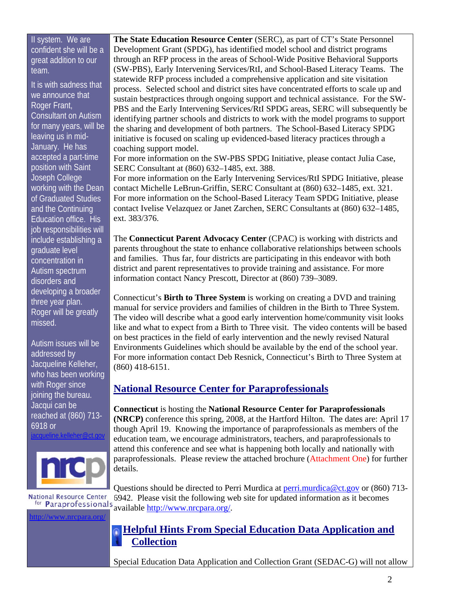### <span id="page-1-0"></span>II system. We are confident she will be a great addition to our team.

It is with sadness that we announce that Roger Frant, Consultant on Autism for many years, will be leaving us in mid-January. He has accepted a part-time position with Saint Joseph College working with the Dean of Graduated Studies and the Continuing Education office. His job responsibilities will include establishing a graduate level concentration in Autism spectrum disorders and developing a broader three year plan. Roger will be greatly missed.

Autism issues will be addressed by Jacqueline Kelleher, who has been working with Roger since joining the bureau. Jacqui can be reached at (860) 713- 6918 or

[jacqueline.kelleher@ct.gov](mailto:jacqueline.kelleher@ct.gov)



<http://www.nrcpara.org/>

**The State Education Resource Center** (SERC), as part of CT's State Personnel Development Grant (SPDG), has identified model school and district programs through an RFP process in the areas of School-Wide Positive Behavioral Supports (SW-PBS), Early Intervening Services/RtI, and School-Based Literacy Teams. The statewide RFP process included a comprehensive application and site visitation process. Selected school and district sites have concentrated efforts to scale up and sustain bestpractices through ongoing support and technical assistance. For the SW-PBS and the Early Intervening Services/RtI SPDG areas, SERC will subsequently be identifying partner schools and districts to work with the model programs to support the sharing and development of both partners. The School-Based Literacy SPDG initiative is focused on scaling up evidenced-based literacy practices through a coaching support model.

For more information on the SW-PBS SPDG Initiative, please contact Julia Case, SERC Consultant at (860) 632–1485, ext. 388.

For more information on the Early Intervening Services/RtI SPDG Initiative, please contact Michelle LeBrun-Griffin, SERC Consultant at (860) 632–1485, ext. 321. For more information on the School-Based Literacy Team SPDG Initiative, please contact Ivelise Velazquez or Janet Zarchen, SERC Consultants at (860) 632–1485, ext. 383/376.

The **Connecticut Parent Advocacy Center** (CPAC) is working with districts and parents throughout the state to enhance collaborative relationships between schools and families. Thus far, four districts are participating in this endeavor with both district and parent representatives to provide training and assistance. For more information contact Nancy Prescott, Director at (860) 739–3089.

Connecticut's **Birth to Three System** is working on creating a DVD and training manual for service providers and families of children in the Birth to Three System. The video will describe what a good early intervention home/community visit looks like and what to expect from a Birth to Three visit. The video contents will be based on best practices in the field of early intervention and the newly revised Natural Environments Guidelines which should be available by the end of the school year. For more information contact Deb Resnick, Connecticut's Birth to Three System at (860) 418-6151.

### **National Resource Center for Paraprofessionals**

**Connecticut** is hosting the **National Resource Center for Paraprofessionals (NRCP)** conference this spring, 2008, at the Hartford Hilton. The dates are: April 17 though April 19. Knowing the importance of paraprofessionals as members of the education team, we encourage administrators, teachers, and paraprofessionals to attend this conference and see what is happening both locally and nationally with paraprofessionals. Please review the attached brochure [\(Attachment One\)](#page-7-0) for further details.

Questions should be directed to Perri Murdica at [perri.murdica@ct.gov](mailto:perri.murdica@ct.gov) or (860) 713- **National Resource Center** 6942. Please visit the following web site for updated information as it becomes for **Paraprofessionals** available [http://www.nrcpara.org/.](http://www.nrcpara.org/)

## **Helpful Hints From Special Education Data Application and Collection**

Special Education Data Application and Collection Grant (SEDAC-G) will not allow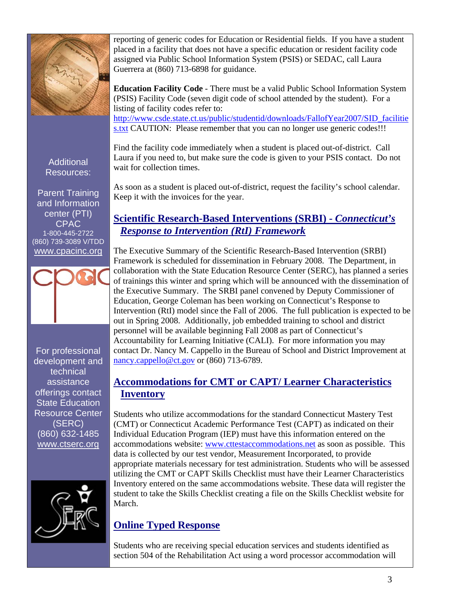

**Additional** Resources:

Parent Training and Information center (PTI) CPAC 1-800-445-2722 (860) 739-3089 V/TDD [www.cpacinc.org](http://www.cpacinc.org/)

For professional development and technical assistance offerings contact State Education Resource Center (SERC) (860) 632-1485 [www.ctserc.org](http://www.ctserc.org/)



reporting of generic codes for Education or Residential fields. If you have a student placed in a facility that does not have a specific education or resident facility code assigned via Public School Information System (PSIS) or SEDAC, call Laura Guerrera at (860) 713-6898 for guidance.

**Education Facility Code** - There must be a valid Public School Information System (PSIS) Facility Code (seven digit code of school attended by the student). For a listing of facility codes refer to: [http://www.csde.state.ct.us/public/studentid/downloads/FallofYear2007/SID\\_facilitie](http://www.csde.state.ct.us/public/studentid/downloads/FallofYear2007/SID_facilities.txt) [s.txt](http://www.csde.state.ct.us/public/studentid/downloads/FallofYear2007/SID_facilities.txt) CAUTION: Please remember that you can no longer use generic codes!!!

Find the facility code immediately when a student is placed out-of-district. Call Laura if you need to, but make sure the code is given to your PSIS contact. Do not wait for collection times.

As soon as a student is placed out-of-district, request the facility's school calendar. Keep it with the invoices for the year.

## **Scientific Research-Based Interventions (SRBI) -** *Connecticut's Response to Intervention (RtI) Framework*

The Executive Summary of the Scientific Research-Based Intervention (SRBI) Framework is scheduled for dissemination in February 2008. The Department, in collaboration with the State Education Resource Center (SERC), has planned a series of trainings this winter and spring which will be announced with the dissemination of the Executive Summary. The SRBI panel convened by Deputy Commissioner of Education, George Coleman has been working on Connecticut's Response to Intervention (RtI) model since the Fall of 2006. The full publication is expected to be out in Spring 2008. Additionally, job embedded training to school and district personnel will be available beginning Fall 2008 as part of Connecticut's Accountability for Learning Initiative (CALI). For more information you may contact Dr. Nancy M. Cappello in the Bureau of School and District Improvement at [nancy.cappello@ct.gov](mailto:nancy.cappello@ct.gov) or (860) 713-6789.

## **Accommodations for CMT or CAPT/ Learner Characteristics Inventory**

Students who utilize accommodations for the standard Connecticut Mastery Test (CMT) or Connecticut Academic Performance Test (CAPT) as indicated on their Individual Education Program (IEP) must have this information entered on the accommodations website: [www.cttestaccommodations.net](http://www.cttestaccommodations.net/) as soon as possible. This data is collected by our test vendor, Measurement Incorporated, to provide appropriate materials necessary for test administration. Students who will be assessed utilizing the CMT or CAPT Skills Checklist must have their Learner Characteristics Inventory entered on the same accommodations website. These data will register the student to take the Skills Checklist creating a file on the Skills Checklist website for March.

## **Online Typed Response**

Students who are receiving special education services and students identified as section 504 of the Rehabilitation Act using a word processor accommodation will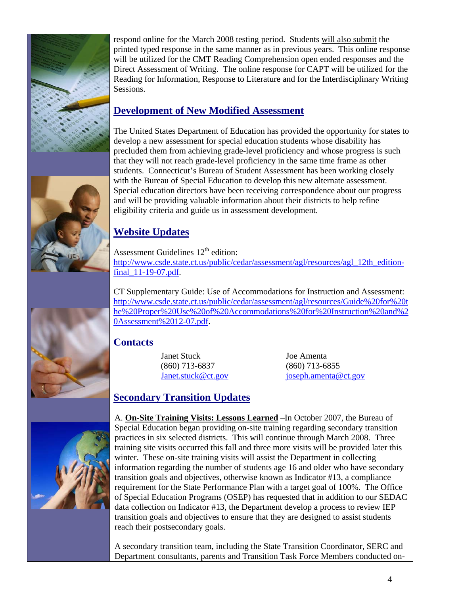

respond online for the March 2008 testing period. Students will also submit the printed typed response in the same manner as in previous years. This online response will be utilized for the CMT Reading Comprehension open ended responses and the Direct Assessment of Writing. The online response for CAPT will be utilized for the Reading for Information, Response to Literature and for the Interdisciplinary Writing Sessions.

## **Development of New Modified Assessment**

The United States Department of Education has provided the opportunity for states to develop a new assessment for special education students whose disability has precluded them from achieving grade-level proficiency and whose progress is such that they will not reach grade-level proficiency in the same time frame as other students. Connecticut's Bureau of Student Assessment has been working closely with the Bureau of Special Education to develop this new alternate assessment. Special education directors have been receiving correspondence about our progress and will be providing valuable information about their districts to help refine eligibility criteria and guide us in assessment development.

## **Website Updates**

Assessment Guidelines 12<sup>th</sup> edition: [http://www.csde.state.ct.us/public/cedar/assessment/agl/resources/agl\\_12th\\_edition](http://www.csde.state.ct.us/public/cedar/assessment/agl/resources/agl_12th_edition-final_11-19-07.pdf)[final\\_11-19-07.pdf](http://www.csde.state.ct.us/public/cedar/assessment/agl/resources/agl_12th_edition-final_11-19-07.pdf).

CT Supplementary Guide: Use of Accommodations for Instruction and Assessment: [http://www.csde.state.ct.us/public/cedar/assessment/agl/resources/Guide%20for%20t](http://www.csde.state.ct.us/public/cedar/assessment/agl/resources/Guide%20for%20the%20Proper%20Use%20of%20Accommodations%20for%20Instruction%20and%20Assessment%2012-07.pdf) [he%20Proper%20Use%20of%20Accommodations%20for%20Instruction%20and%2](http://www.csde.state.ct.us/public/cedar/assessment/agl/resources/Guide%20for%20the%20Proper%20Use%20of%20Accommodations%20for%20Instruction%20and%20Assessment%2012-07.pdf) [0Assessment%2012-07.pdf](http://www.csde.state.ct.us/public/cedar/assessment/agl/resources/Guide%20for%20the%20Proper%20Use%20of%20Accommodations%20for%20Instruction%20and%20Assessment%2012-07.pdf).

## **Contacts**

Janet Stuck Joe Amenta (860) 713-6837 (860) 713-6855

[Janet.stuck@ct.gov](mailto:Janet.stuck@ct.gov) [joseph.amenta@ct.gov](mailto:joseph.amenta@ct.gov)

## **Secondary Transition Updates**

A. **On-Site Training Visits: Lessons Learned** –In October 2007, the Bureau of Special Education began providing on-site training regarding secondary transition practices in six selected districts. This will continue through March 2008. Three training site visits occurred this fall and three more visits will be provided later this winter. These on-site training visits will assist the Department in collecting information regarding the number of students age 16 and older who have secondary transition goals and objectives, otherwise known as Indicator #13, a compliance requirement for the State Performance Plan with a target goal of 100%. The Office of Special Education Programs (OSEP) has requested that in addition to our SEDAC data collection on Indicator #13, the Department develop a process to review IEP transition goals and objectives to ensure that they are designed to assist students reach their postsecondary goals.

A secondary transition team, including the State Transition Coordinator, SERC and Department consultants, parents and Transition Task Force Members conducted on-





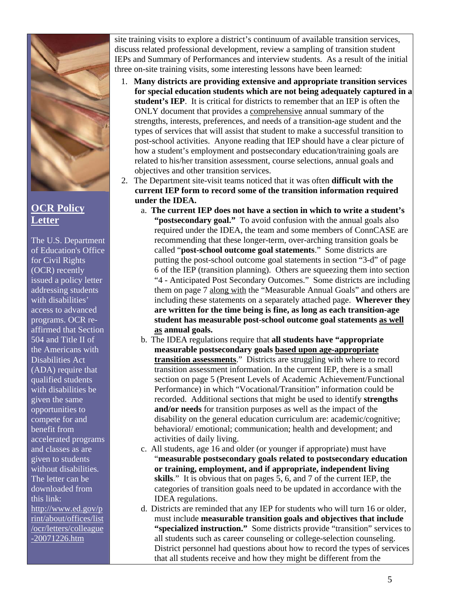

## **OCR Policy Letter**

The U.S. Department of Education's Office for Civil Rights (OCR) recently issued a policy letter addressing students with disabilities' access to advanced programs. OCR reaffirmed that Section 504 and Title II of the Americans with Disabilities Act (ADA) require that qualified students with disabilities be given the same opportunities to compete for and benefit from accelerated programs and classes as are given to students without disabilities*.* The letter can be downloaded from this link: [http://www.ed.gov/p](http://www.ed.gov/print/about/offices/list/ocr/letters/colleague-20071226.html) [rint/about/offices/list](http://www.ed.gov/print/about/offices/list/ocr/letters/colleague-20071226.html) [/ocr/letters/colleague](http://www.ed.gov/print/about/offices/list/ocr/letters/colleague-20071226.html) [-20071226.htm](http://www.ed.gov/print/about/offices/list/ocr/letters/colleague-20071226.html)

site training visits to explore a district's continuum of available transition services, discuss related professional development, review a sampling of transition student IEPs and Summary of Performances and interview students. As a result of the initial three on-site training visits, some interesting lessons have been learned:

- 1. **Many districts are providing extensive and appropriate transition services for special education students which are not being adequately captured in a student's IEP**. It is critical for districts to remember that an IEP is often the ONLY document that provides a comprehensive annual summary of the strengths, interests, preferences, and needs of a transition-age student and the types of services that will assist that student to make a successful transition to post-school activities. Anyone reading that IEP should have a clear picture of how a student's employment and postsecondary education/training goals are related to his/her transition assessment, course selections, annual goals and objectives and other transition services.
- 2. The Department site-visit teams noticed that it was often **difficult with the current IEP form to record some of the transition information required under the IDEA.**
	- a. **The current IEP does not have a section in which to write a student's "postsecondary goal."** To avoid confusion with the annual goals also required under the IDEA, the team and some members of ConnCASE are recommending that these longer-term, over-arching transition goals be called "**post-school outcome goal statements**." Some districts are putting the post-school outcome goal statements in section "3-d" of page 6 of the IEP (transition planning). Others are squeezing them into section "4 - Anticipated Post Secondary Outcomes." Some districts are including them on page 7 along with the "Measurable Annual Goals" and others are including these statements on a separately attached page. **Wherever they are written for the time being is fine, as long as each transition-age student has measurable post-school outcome goal statements as well as annual goals.**
	- b. The IDEA regulations require that **all students have "appropriate measurable postsecondary goals based upon age-appropriate transition assessments**." Districts are struggling with where to record transition assessment information. In the current IEP, there is a small section on page 5 (Present Levels of Academic Achievement/Functional Performance) in which "Vocational/Transition" information could be recorded. Additional sections that might be used to identify **strengths and/or needs** for transition purposes as well as the impact of the disability on the general education curriculum are: academic/cognitive; behavioral/ emotional; communication; health and development; and activities of daily living.
	- c. All students, age 16 and older (or younger if appropriate) must have "**measurable postsecondary goals related to postsecondary education or training, employment, and if appropriate, independent living skills**." It is obvious that on pages 5, 6, and 7 of the current IEP, the categories of transition goals need to be updated in accordance with the IDEA regulations.
	- d. Districts are reminded that any IEP for students who will turn 16 or older, must include **measurable transition goals and objectives that include "specialized instruction."** Some districts provide "transition" services to all students such as career counseling or college-selection counseling. District personnel had questions about how to record the types of services that all students receive and how they might be different from the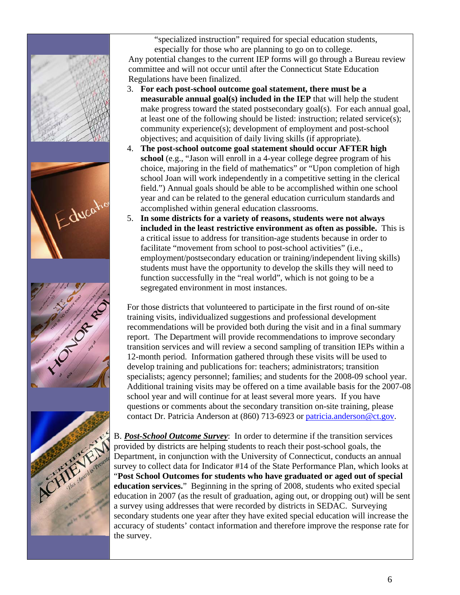







"specialized instruction" required for special education students, especially for those who are planning to go on to college.

Any potential changes to the current IEP forms will go through a Bureau review committee and will not occur until after the Connecticut State Education Regulations have been finalized.

- 3. **For each post-school outcome goal statement, there must be a measurable annual goal(s) included in the IEP** that will help the student make progress toward the stated postsecondary goal(s). For each annual goal, at least one of the following should be listed: instruction; related service(s); community experience(s); development of employment and post-school objectives; and acquisition of daily living skills (if appropriate).
- 4. **The post-school outcome goal statement should occur AFTER high school** (e.g., "Jason will enroll in a 4-year college degree program of his choice, majoring in the field of mathematics" or "Upon completion of high school Joan will work independently in a competitive setting in the clerical field.") Annual goals should be able to be accomplished within one school year and can be related to the general education curriculum standards and accomplished within general education classrooms.
- 5. **In some districts for a variety of reasons, students were not always included in the least restrictive environment as often as possible.** This is a critical issue to address for transition-age students because in order to facilitate "movement from school to post-school activities" (i.e., employment/postsecondary education or training/independent living skills) students must have the opportunity to develop the skills they will need to function successfully in the "real world", which is not going to be a segregated environment in most instances.

For those districts that volunteered to participate in the first round of on-site training visits, individualized suggestions and professional development recommendations will be provided both during the visit and in a final summary report. The Department will provide recommendations to improve secondary transition services and will review a second sampling of transition IEPs within a 12-month period. Information gathered through these visits will be used to develop training and publications for: teachers; administrators; transition specialists; agency personnel; families; and students for the 2008-09 school year. Additional training visits may be offered on a time available basis for the 2007-08 school year and will continue for at least several more years. If you have questions or comments about the secondary transition on-site training, please contact Dr. Patricia Anderson at (860) 713-6923 or [patricia.anderson@ct.gov.](mailto:patricia.anderson@ct.gov)

B. *Post-School Outcome Survey*: In order to determine if the transition services provided by districts are helping students to reach their post-school goals, the Department, in conjunction with the University of Connecticut, conducts an annual survey to collect data for Indicator #14 of the State Performance Plan, which looks at "**Post School Outcomes for students who have graduated or aged out of special education services.**" Beginning in the spring of 2008, students who exited special education in 2007 (as the result of graduation, aging out, or dropping out) will be sent a survey using addresses that were recorded by districts in SEDAC. Surveying secondary students one year after they have exited special education will increase the accuracy of students' contact information and therefore improve the response rate for the survey.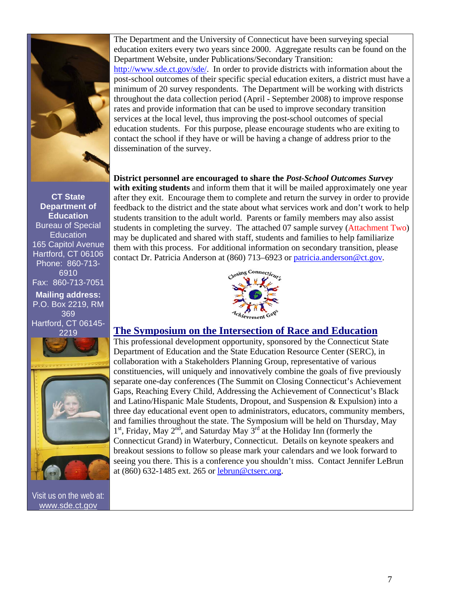<span id="page-6-0"></span>

**CT State Department of Education**  Bureau of Special **Education** 165 Capitol Avenue Hartford, CT 06106 Phone: 860-713- 6910 Fax: 860-713-7051

**Mailing address:**  P.O. Box 2219, RM 369 Hartford, CT 06145- 2219



Visit us on the web at: [www.sde.ct.gov](http://www.sde.ct.gov/)

The Department and the University of Connecticut have been surveying special education exiters every two years since 2000. Aggregate results can be found on the Department Website, under Publications/Secondary Transition: <http://www.sde.ct.gov/sde/>. In order to provide districts with information about the post-school outcomes of their specific special education exiters, a district must have a minimum of 20 survey respondents. The Department will be working with districts throughout the data collection period (April - September 2008) to improve response rates and provide information that can be used to improve secondary transition services at the local level, thus improving the post-school outcomes of special education students. For this purpose, please encourage students who are exiting to contact the school if they have or will be having a change of address prior to the dissemination of the survey.

**District personnel are encouraged to share the** *Post-School Outcomes Survey* **with exiting students** and inform them that it will be mailed approximately one year after they exit. Encourage them to complete and return the survey in order to provide feedback to the district and the state about what services work and don't work to help students transition to the adult world. Parents or family members may also assist students in completing the survey. The attached 07 sample survey [\(Attachment Two\)](#page-9-0) may be duplicated and shared with staff, students and families to help familiarize them with this process. For additional information on secondary transition, please contact Dr. Patricia Anderson at (860) 713–6923 or [patricia.anderson@ct.gov.](mailto:patricia.anderson@ct.gov)



### **The Symposium on the Intersection of Race and Education**

This professional development opportunity, sponsored by the Connecticut State Department of Education and the State Education Resource Center (SERC), in collaboration with a Stakeholders Planning Group, representative of various constituencies, will uniquely and innovatively combine the goals of five previously separate one-day conferences (The Summit on Closing Connecticut's Achievement Gaps, Reaching Every Child, Addressing the Achievement of Connecticut's Black and Latino/Hispanic Male Students, Dropout, and Suspension & Expulsion) into a three day educational event open to administrators, educators, community members, and families throughout the state. The Symposium will be held on Thursday, May  $1<sup>st</sup>$ , Friday, May  $2<sup>nd</sup>$ , and Saturday May  $3<sup>rd</sup>$  at the Holiday Inn (formerly the Connecticut Grand) in Waterbury, Connecticut. Details on keynote speakers and breakout sessions to follow so please mark your calendars and we look forward to seeing you there. This is a conference you shouldn't miss. Contact Jennifer LeBrun at (860) 632-1485 ext. 265 or [lebrun@ctserc.org.](mailto:lebrun@ctserc.org)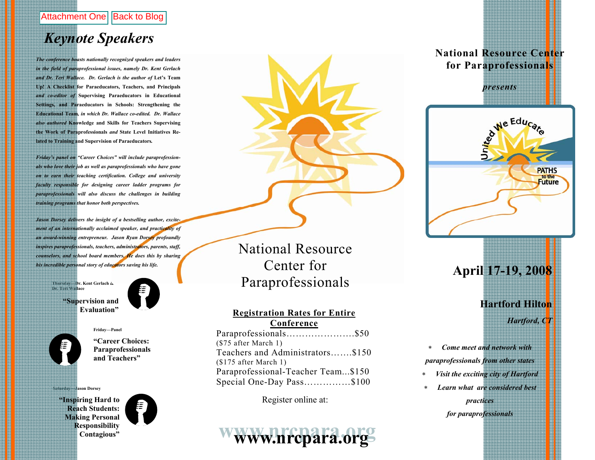## <span id="page-7-0"></span>Attachment One [Back to Blog](#page-1-0)

## *Keynote Speakers*

*The conference boasts nationally recognized speakers and leaders in the field of paraprofessional issues, namely Dr. Kent Gerlach*  and Dr. Teri Wallace. Dr. Gerlach is the author of Let's Team **Up! A Checklist for Paraeducators, Teachers, and Principals**  *and co-editor of* **Supervising Paraeducators in Educational Settings, and Paraeducators in Schools: Strengthening the Educational Team***, in which Dr. Wallace co-edited. Dr. Wallace also authored* **Knowledge and Skills for Teachers Supervising the Work of Paraprofessionals** *and* **State Level Initiatives Related to Training and Supervision of Paraeducators***.* 

*Friday's panel on "Career Choices" will include paraprofessionals who love their job as well as paraprofessionals who have gone on to earn their teaching certification. College and university faculty responsible for designing career ladder programs for paraprofessionals will also discuss the challenges in building training programs that honor both perspectives.* 

*Jason Dorsey delivers the insight of a bestselling author, excitement of an internationally acclaimed speaker, and practicality of an award-winning entrepreneur. Jason Ryan Dorsey profoundly inspires paraprofessionals, teachers, administrators, parents, staff, counselors, and school board members. He does this by sharing his incredible personal story of educators saving his life.* 

> **Thursday—Dr. Kent Gerlach & Dr. Teri Wallace "Supervision and**

> > **Evaluation"**



**Friday—Panel** 

#### **"Career Choices: Paraprofessionals and Teachers"**

**Saturday—Jason Dorsey** 

**"Inspiring Hard to Reach Students: Making Personal Responsibility Contagious"** 



National Resource Center for Paraprofessionals

#### **Registration Rates for Entire Conference**

Paraprofessionals………………….\$50 (\$75 after March 1) Teachers and Administrators…….\$150 (\$175 after March 1) Paraprofessional-Teacher Team...\$150 Special One-Day Pass……………\$100

Register online at:

# www.nrcpara.org

### **National Resource Center for Paraprofessionals**

*presents* 



## **April 17-19, 2008**

**Hartford Hilton** 

*Hartford, CT* 

∗ *Come meet and network with paraprofessionals from other states* 

- <sup>∗</sup>*Visit the exciting city of Hartford*
- ∗ *Learn what are considered best practices for paraprofessionals*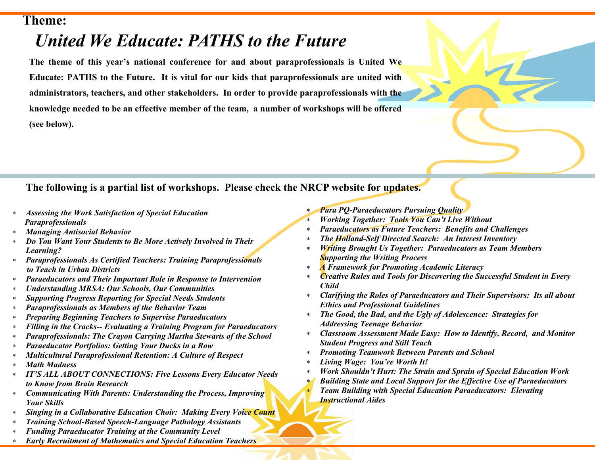## **Theme:**

# *United We Educate: PATHS to the Future*

**The theme of this year's national conference for and about paraprofessionals is United We Educate: PATHS to the Future. It is vital for our kids that paraprofessionals are united with administrators, teachers, and other stakeholders. In order to provide paraprofessionals with the knowledge needed to be an effective member of the team, a number of workshops will be offered (see below).** 

## **The following is a partial list of workshops. Please check the NRCP website for updates.**

- <sup>∗</sup>*Assessing the Work Satisfaction of Special Education Paraprofessionals*
- <sup>∗</sup>*Managing Antisocial Behavior*
- <sup>∗</sup>*Do You Want Your Students to Be More Actively Involved in Their Learning?*
- <sup>∗</sup>*Paraprofessionals As Certified Teachers: Training Paraprofessionals to Teach in Urban Districts*
- <sup>∗</sup>*Paraeducators and Their Important Role in Response to Intervention*
- <sup>∗</sup>*Understanding MRSA: Our Schools, Our Communities*
- <sup>∗</sup>*Supporting Progress Reporting for Special Needs Students*
- <sup>∗</sup>*Paraprofessionals as Members of the Behavior Team*
- <sup>∗</sup>*Preparing Beginning Teachers to Supervise Paraeducators*
- <sup>∗</sup>*Filling in the Cracks-- Evaluating a Training Program for Paraeducators*
- <sup>∗</sup>*Paraprofessionals: The Crayon Carrying Martha Stewarts of the School*
- <sup>∗</sup>*Paraeducator Portfolios: Getting Your Ducks in a Row*
- <sup>∗</sup>*Multicultural Paraprofessional Retention: A Culture of Respect*
- ∗ *Math Madness*
- <sup>∗</sup>*IT'S ALL ABOUT CONNECTIONS: Five Lessons Every Educator Needs to Know from Brain Research*
- <sup>∗</sup>*Communicating With Parents: Understanding the Process, Improving Your Skills*
- <sup>∗</sup>*Singing in a Collaborative Education Choir: Making Every Voice Count*
- <sup>∗</sup>*Training School-Based Speech-Language Pathology Assistants*
- <sup>∗</sup>*Funding Paraeducator Training at the Community Level*
- <sup>∗</sup>*Early Recruitment of Mathematics and Special Education Teachers*
- <sup>∗</sup>*Para PQ-Paraeducators Pursuing Quality*
- <sup>∗</sup>*Working Together: Tools You Can't Live Without*
- <sup>∗</sup>*Paraeducators as Future Teachers: Benefits and Challenges*
- <sup>∗</sup>*The Holland-Self Directed Search: An Interest Inventory*
- <sup>∗</sup>*Writing Brought Us Together: Paraeducators as Team Members Supporting the Writing Process*
- <sup>∗</sup>*A Framework for Promoting Academic Literacy*
- <sup>∗</sup>*Creative Rules and Tools for Discovering the Successful Student in Every Child*
- <sup>∗</sup>*Clarifying the Roles of Paraeducators and Their Supervisors: Its all about Ethics and Professional Guidelines*
- <sup>∗</sup>*The Good, the Bad, and the Ugly of Adolescence: Strategies for Addressing Teenage Behavior*
- <sup>∗</sup>*Classroom Assessment Made Easy: How to Identify, Record, and Monitor Student Progress and Still Teach*
- <sup>∗</sup>*Promoting Teamwork Between Parents and School*
- <sup>∗</sup>*Living Wage: You're Worth It!*
- <sup>∗</sup>*Work Shouldn't Hurt: The Strain and Sprain of Special Education Work*
- *Building State and Local Support for the Effective Use of Paraeducators* <sup>∗</sup>*Team Building with Special Education Paraeducators: Elevating Instructional Aides*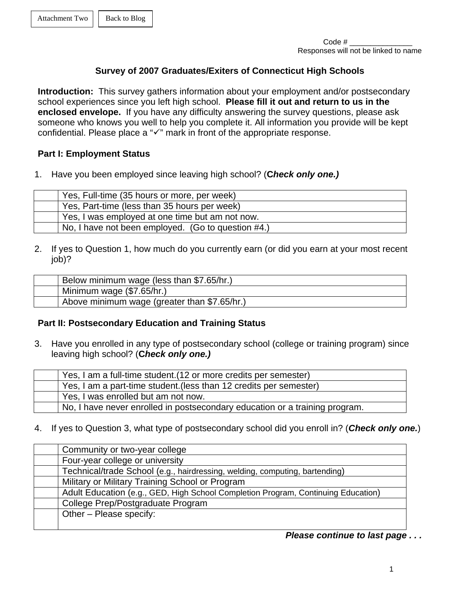### **Survey of 2007 Graduates/Exiters of Connecticut High Schools**

<span id="page-9-0"></span>**Introduction:** This survey gathers information about your employment and/or postsecondary school experiences since you left high school. **Please fill it out and return to us in the enclosed envelope.** If you have any difficulty answering the survey questions, please ask someone who knows you well to help you complete it. All information you provide will be kept confidential. Please place a " $\checkmark$ " mark in front of the appropriate response.

### **Part I: Employment Status**

1. Have you been employed since leaving high school? (**C***heck only one.)*

| Yes, Full-time (35 hours or more, per week)        |
|----------------------------------------------------|
| Yes, Part-time (less than 35 hours per week)       |
| Yes, I was employed at one time but am not now.    |
| No, I have not been employed. (Go to question #4.) |

2. If yes to Question 1, how much do you currently earn (or did you earn at your most recent job)?

| Below minimum wage (less than \$7.65/hr.)    |
|----------------------------------------------|
| Minimum wage (\$7.65/hr.)                    |
| Above minimum wage (greater than \$7.65/hr.) |

### **Part II: Postsecondary Education and Training Status**

3. Have you enrolled in any type of postsecondary school (college or training program) since leaving high school? (**C***heck only one.)*

| Yes, I am a full-time student. (12 or more credits per semester)            |
|-----------------------------------------------------------------------------|
| Yes, I am a part-time student. (less than 12 credits per semester)          |
| Yes, I was enrolled but am not now.                                         |
| No. I have never enrolled in postsecondary education or a training program. |

4. If yes to Question 3, what type of postsecondary school did you enroll in? (*Check only one.*)

| Community or two-year college                                                     |
|-----------------------------------------------------------------------------------|
| Four-year college or university                                                   |
| Technical/trade School (e.g., hairdressing, welding, computing, bartending)       |
| Military or Military Training School or Program                                   |
| Adult Education (e.g., GED, High School Completion Program, Continuing Education) |
| College Prep/Postgraduate Program                                                 |
| Other - Please specify:                                                           |
|                                                                                   |

*Please continue to last page . . .*